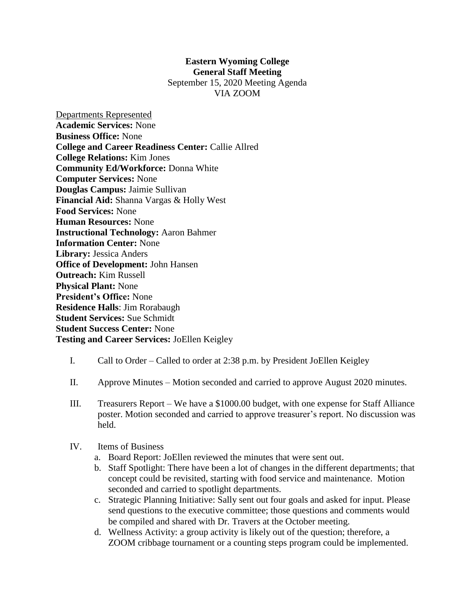## **Eastern Wyoming College General Staff Meeting**

September 15, 2020 Meeting Agenda VIA ZOOM

Departments Represented **Academic Services:** None **Business Office:** None **College and Career Readiness Center:** Callie Allred **College Relations:** Kim Jones **Community Ed/Workforce:** Donna White **Computer Services:** None **Douglas Campus:** Jaimie Sullivan **Financial Aid:** Shanna Vargas & Holly West **Food Services:** None **Human Resources:** None **Instructional Technology:** Aaron Bahmer **Information Center:** None **Library:** Jessica Anders **Office of Development:** John Hansen **Outreach:** Kim Russell **Physical Plant:** None **President's Office:** None **Residence Halls**: Jim Rorabaugh **Student Services:** Sue Schmidt **Student Success Center:** None **Testing and Career Services:** JoEllen Keigley

- I. Call to Order Called to order at 2:38 p.m. by President JoEllen Keigley
- II. Approve Minutes Motion seconded and carried to approve August 2020 minutes.
- III. Treasurers Report We have a \$1000.00 budget, with one expense for Staff Alliance poster. Motion seconded and carried to approve treasurer's report. No discussion was held.
- IV. Items of Business
	- a. Board Report: JoEllen reviewed the minutes that were sent out.
	- b. Staff Spotlight: There have been a lot of changes in the different departments; that concept could be revisited, starting with food service and maintenance. Motion seconded and carried to spotlight departments.
	- c. Strategic Planning Initiative: Sally sent out four goals and asked for input. Please send questions to the executive committee; those questions and comments would be compiled and shared with Dr. Travers at the October meeting.
	- d. Wellness Activity: a group activity is likely out of the question; therefore, a ZOOM cribbage tournament or a counting steps program could be implemented.